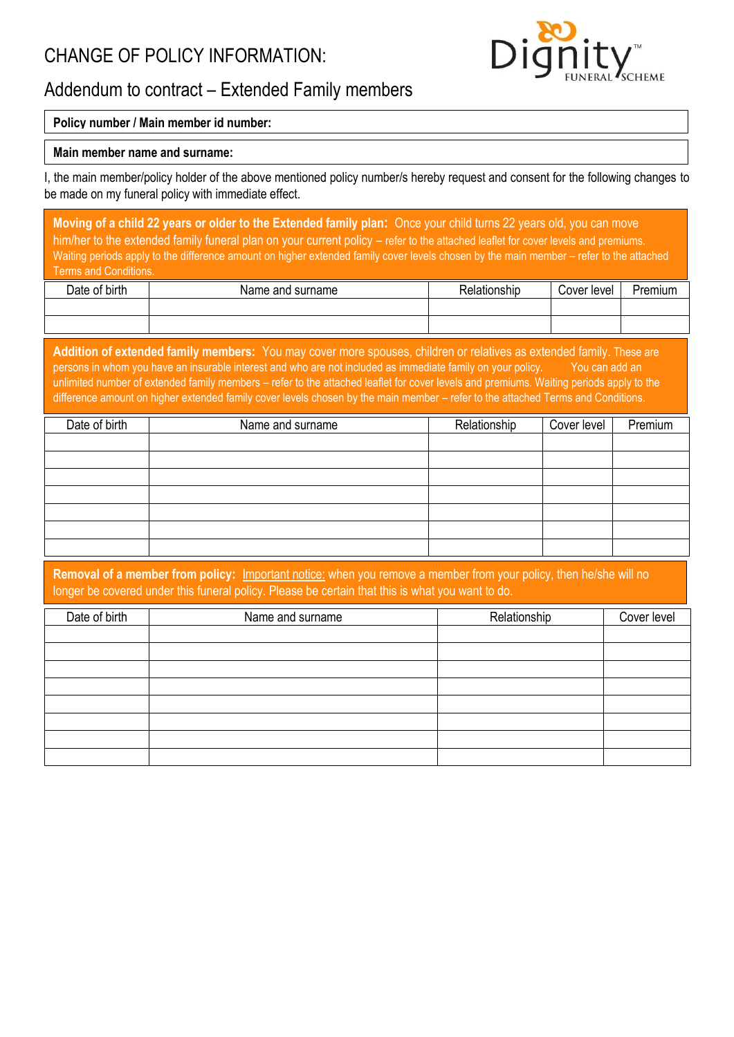# CHANGE OF POLICY INFORMATION:



# Addendum to contract – Extended Family members

## **Policy number / Main member id number:**

### **Main member name and surname:**

I, the main member/policy holder of the above mentioned policy number/s hereby request and consent for the following changes to be made on my funeral policy with immediate effect.

**Moving of a child 22 years or older to the Extended family plan:** Once your child turns 22 years old, you can move him/her to the extended family funeral plan on your current policy – refer to the attached leaflet for cover levels and premiums. Waiting periods apply to the difference amount on higher extended family cover levels chosen by the main member – refer to the attached Terms and Conditions.

| Date of birth | Name and surname | Relationship | Cover level | Premium |
|---------------|------------------|--------------|-------------|---------|
|               |                  |              |             |         |
|               |                  |              |             |         |

**Addition of extended family members:** You may cover more spouses, children or relatives as extended family. These are persons in whom you have an insurable interest and who are not included as immediate family on your policy. You can add an unlimited number of extended family members – refer to the attached leaflet for cover levels and premiums. Waiting periods apply to the difference amount on higher extended family cover levels chosen by the main member – refer to the attached Terms and Conditions.

| Date of birth | Name and surname | Relationship | Cover level | Premium |
|---------------|------------------|--------------|-------------|---------|
|               |                  |              |             |         |
|               |                  |              |             |         |
|               |                  |              |             |         |
|               |                  |              |             |         |
|               |                  |              |             |         |
|               |                  |              |             |         |
|               |                  |              |             |         |

**Removal of a member from policy:** Important notice: when you remove a member from your policy, then he/she will no longer be covered under this funeral policy. Please be certain that this is what you want to do.

| Date of birth | Name and surname | Relationship | Cover level |
|---------------|------------------|--------------|-------------|
|               |                  |              |             |
|               |                  |              |             |
|               |                  |              |             |
|               |                  |              |             |
|               |                  |              |             |
|               |                  |              |             |
|               |                  |              |             |
|               |                  |              |             |